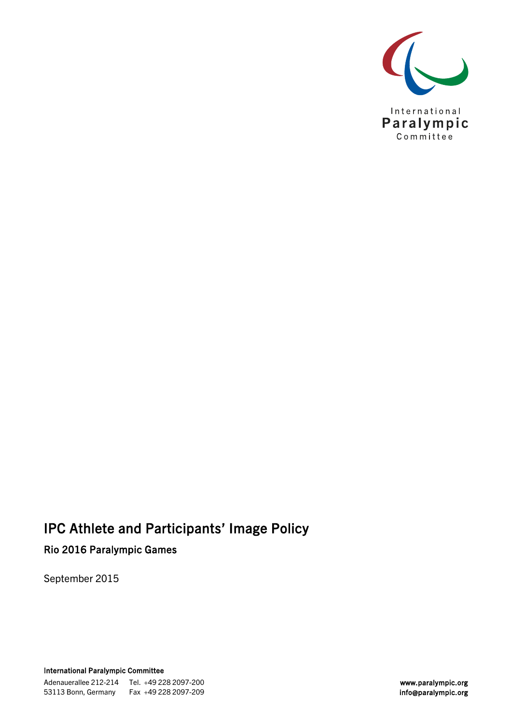

# IPC Athlete and Participants' Image Policy Rio 2016 Paralympic Games

September 2015

International Paralympic Committee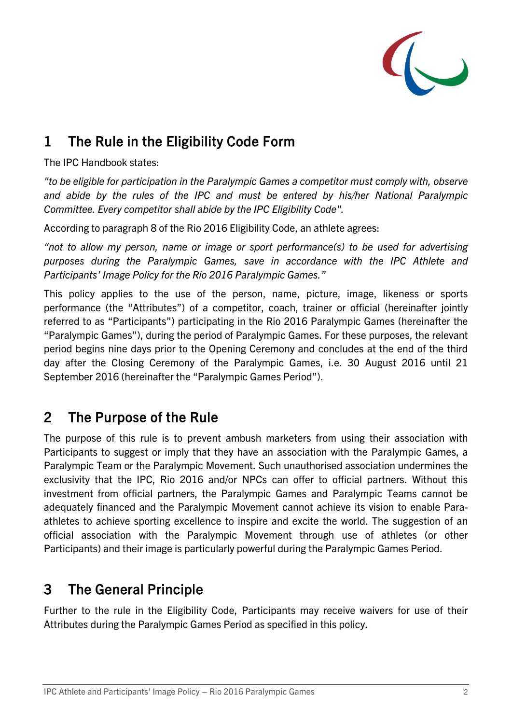

# 1 The Rule in the Eligibility Code Form

The IPC Handbook states:

*"to be eligible for participation in the Paralympic Games a competitor must comply with, observe and abide by the rules of the IPC and must be entered by his/her National Paralympic Committee. Every competitor shall abide by the IPC Eligibility Code".*

According to paragraph 8 of the Rio 2016 Eligibility Code, an athlete agrees:

*"not to allow my person, name or image or sport performance(s) to be used for advertising purposes during the Paralympic Games, save in accordance with the IPC Athlete and Participants' Image Policy for the Rio 2016 Paralympic Games."* 

This policy applies to the use of the person, name, picture, image, likeness or sports performance (the "Attributes") of a competitor, coach, trainer or official (hereinafter jointly referred to as "Participants") participating in the Rio 2016 Paralympic Games (hereinafter the "Paralympic Games"), during the period of Paralympic Games. For these purposes, the relevant period begins nine days prior to the Opening Ceremony and concludes at the end of the third day after the Closing Ceremony of the Paralympic Games, i.e. 30 August 2016 until 21 September 2016 (hereinafter the "Paralympic Games Period").

### 2 The Purpose of the Rule

The purpose of this rule is to prevent ambush marketers from using their association with Participants to suggest or imply that they have an association with the Paralympic Games, a Paralympic Team or the Paralympic Movement. Such unauthorised association undermines the exclusivity that the IPC, Rio 2016 and/or NPCs can offer to official partners. Without this investment from official partners, the Paralympic Games and Paralympic Teams cannot be adequately financed and the Paralympic Movement cannot achieve its vision to enable Paraathletes to achieve sporting excellence to inspire and excite the world. The suggestion of an official association with the Paralympic Movement through use of athletes (or other Participants) and their image is particularly powerful during the Paralympic Games Period.

# 3 The General Principle

Further to the rule in the Eligibility Code, Participants may receive waivers for use of their Attributes during the Paralympic Games Period as specified in this policy.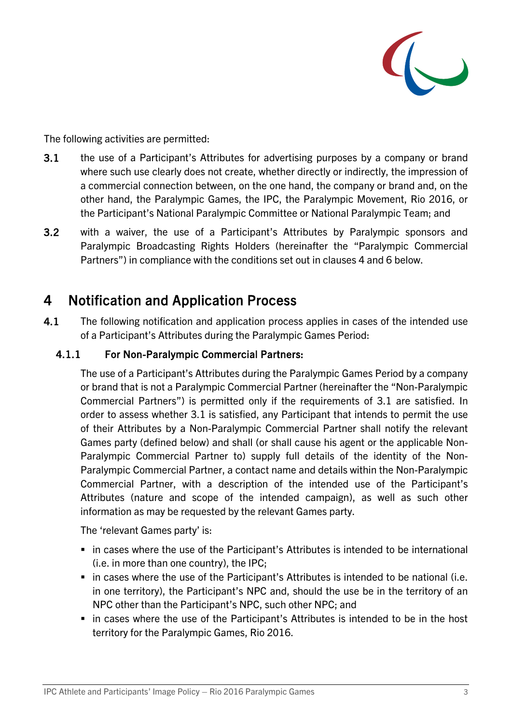

The following activities are permitted:

- 3.1 the use of a Participant's Attributes for advertising purposes by a company or brand where such use clearly does not create, whether directly or indirectly, the impression of a commercial connection between, on the one hand, the company or brand and, on the other hand, the Paralympic Games, the IPC, the Paralympic Movement, Rio 2016, or the Participant's National Paralympic Committee or National Paralympic Team; and
- 3.2 with a waiver, the use of a Participant's Attributes by Paralympic sponsors and Paralympic Broadcasting Rights Holders (hereinafter the "Paralympic Commercial Partners") in compliance with the conditions set out in clauses 4 and 6 below.

### 4 Notification and Application Process

4.1 The following notification and application process applies in cases of the intended use of a Participant's Attributes during the Paralympic Games Period:

### 4.1.1 For Non-Paralympic Commercial Partners:

The use of a Participant's Attributes during the Paralympic Games Period by a company or brand that is not a Paralympic Commercial Partner (hereinafter the "Non-Paralympic Commercial Partners") is permitted only if the requirements of 3.1 are satisfied. In order to assess whether 3.1 is satisfied, any Participant that intends to permit the use of their Attributes by a Non-Paralympic Commercial Partner shall notify the relevant Games party (defined below) and shall (or shall cause his agent or the applicable Non-Paralympic Commercial Partner to) supply full details of the identity of the Non-Paralympic Commercial Partner, a contact name and details within the Non-Paralympic Commercial Partner, with a description of the intended use of the Participant's Attributes (nature and scope of the intended campaign), as well as such other information as may be requested by the relevant Games party.

The 'relevant Games party' is:

- in cases where the use of the Participant's Attributes is intended to be international (i.e. in more than one country), the IPC;
- in cases where the use of the Participant's Attributes is intended to be national (i.e. in one territory), the Participant's NPC and, should the use be in the territory of an NPC other than the Participant's NPC, such other NPC; and
- in cases where the use of the Participant's Attributes is intended to be in the host territory for the Paralympic Games, Rio 2016.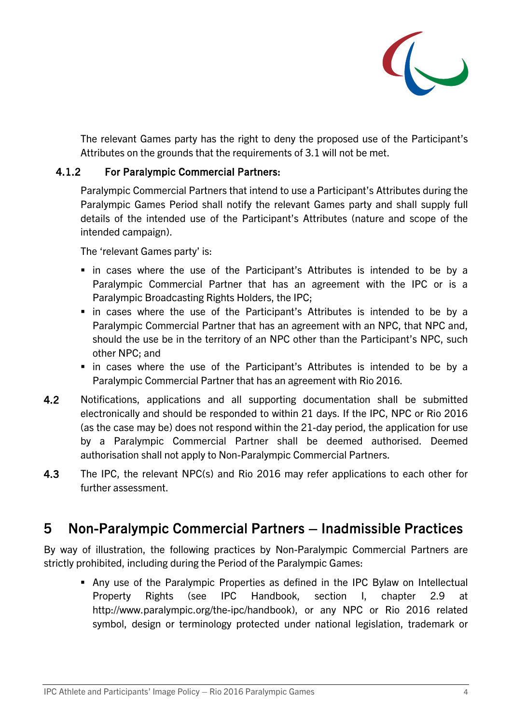

The relevant Games party has the right to deny the proposed use of the Participant's Attributes on the grounds that the requirements of 3.1 will not be met.

#### 4.1.2 For Paralympic Commercial Partners:

Paralympic Commercial Partners that intend to use a Participant's Attributes during the Paralympic Games Period shall notify the relevant Games party and shall supply full details of the intended use of the Participant's Attributes (nature and scope of the intended campaign).

The 'relevant Games party' is:

- in cases where the use of the Participant's Attributes is intended to be by a Paralympic Commercial Partner that has an agreement with the IPC or is a Paralympic Broadcasting Rights Holders, the IPC;
- in cases where the use of the Participant's Attributes is intended to be by a Paralympic Commercial Partner that has an agreement with an NPC, that NPC and, should the use be in the territory of an NPC other than the Participant's NPC, such other NPC; and
- in cases where the use of the Participant's Attributes is intended to be by a Paralympic Commercial Partner that has an agreement with Rio 2016.
- 4.2 Notifications, applications and all supporting documentation shall be submitted electronically and should be responded to within 21 days. If the IPC, NPC or Rio 2016 (as the case may be) does not respond within the 21-day period, the application for use by a Paralympic Commercial Partner shall be deemed authorised. Deemed authorisation shall not apply to Non-Paralympic Commercial Partners.
- 4.3 The IPC, the relevant NPC(s) and Rio 2016 may refer applications to each other for further assessment.

### 5 Non-Paralympic Commercial Partners – Inadmissible Practices

By way of illustration, the following practices by Non-Paralympic Commercial Partners are strictly prohibited, including during the Period of the Paralympic Games:

 Any use of the Paralympic Properties as defined in the IPC Bylaw on Intellectual Property Rights (see IPC Handbook, section I, chapter 2.9 at http://www.paralympic.org/the-ipc/handbook), or any NPC or Rio 2016 related symbol, design or terminology protected under national legislation, trademark or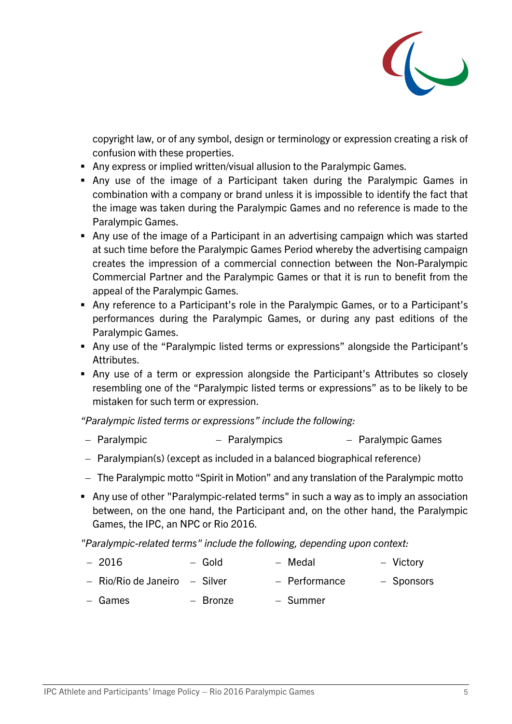

copyright law, or of any symbol, design or terminology or expression creating a risk of confusion with these properties.

- Any express or implied written/visual allusion to the Paralympic Games.
- Any use of the image of a Participant taken during the Paralympic Games in combination with a company or brand unless it is impossible to identify the fact that the image was taken during the Paralympic Games and no reference is made to the Paralympic Games.
- Any use of the image of a Participant in an advertising campaign which was started at such time before the Paralympic Games Period whereby the advertising campaign creates the impression of a commercial connection between the Non-Paralympic Commercial Partner and the Paralympic Games or that it is run to benefit from the appeal of the Paralympic Games.
- Any reference to a Participant's role in the Paralympic Games, or to a Participant's performances during the Paralympic Games, or during any past editions of the Paralympic Games.
- Any use of the "Paralympic listed terms or expressions" alongside the Participant's Attributes.
- Any use of a term or expression alongside the Participant's Attributes so closely resembling one of the "Paralympic listed terms or expressions" as to be likely to be mistaken for such term or expression.

*"Paralympic listed terms or expressions" include the following:*

- − Paralympic − Paralympics − Paralympic Games
- − Paralympian(s) (except as included in a balanced biographical reference)
- − The Paralympic motto "Spirit in Motion" and any translation of the Paralympic motto
- Any use of other "Paralympic-related terms" in such a way as to imply an association between, on the one hand, the Participant and, on the other hand, the Paralympic Games, the IPC, an NPC or Rio 2016.

*"Paralympic-related terms" include the following, depending upon context:*

- − 2016 − Gold − Medal − Victory
- − Rio/Rio de Janeiro − Silver − Performance − Sponsors
- − Games − Bronze − Summer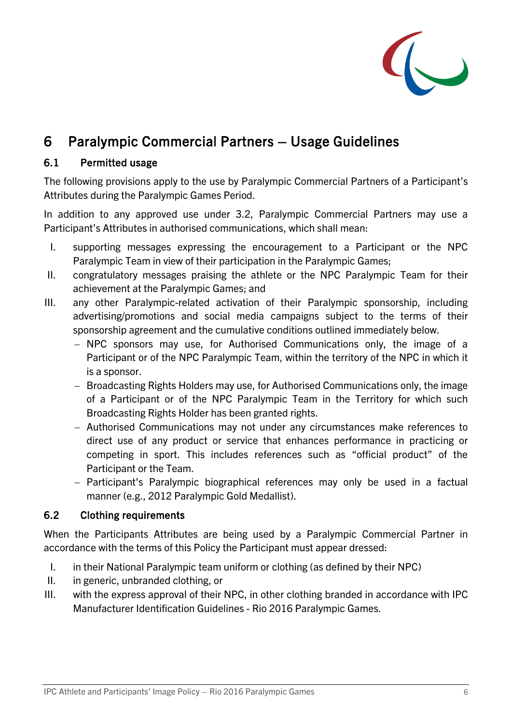

## 6 Paralympic Commercial Partners – Usage Guidelines

#### 6.1 Permitted usage

The following provisions apply to the use by Paralympic Commercial Partners of a Participant's Attributes during the Paralympic Games Period.

In addition to any approved use under 3.2, Paralympic Commercial Partners may use a Participant's Attributes in authorised communications, which shall mean:

- I. supporting messages expressing the encouragement to a Participant or the NPC Paralympic Team in view of their participation in the Paralympic Games;
- II. congratulatory messages praising the athlete or the NPC Paralympic Team for their achievement at the Paralympic Games; and
- III. any other Paralympic-related activation of their Paralympic sponsorship, including advertising/promotions and social media campaigns subject to the terms of their sponsorship agreement and the cumulative conditions outlined immediately below.
	- − NPC sponsors may use, for Authorised Communications only, the image of a Participant or of the NPC Paralympic Team, within the territory of the NPC in which it is a sponsor.
	- − Broadcasting Rights Holders may use, for Authorised Communications only, the image of a Participant or of the NPC Paralympic Team in the Territory for which such Broadcasting Rights Holder has been granted rights.
	- − Authorised Communications may not under any circumstances make references to direct use of any product or service that enhances performance in practicing or competing in sport. This includes references such as "official product" of the Participant or the Team.
	- − Participant's Paralympic biographical references may only be used in a factual manner (e.g., 2012 Paralympic Gold Medallist).

#### 6.2 Clothing requirements

When the Participants Attributes are being used by a Paralympic Commercial Partner in accordance with the terms of this Policy the Participant must appear dressed:

- I. in their National Paralympic team uniform or clothing (as defined by their NPC)
- II. in generic, unbranded clothing, or
- III. with the express approval of their NPC, in other clothing branded in accordance with IPC Manufacturer Identification Guidelines - Rio 2016 Paralympic Games.